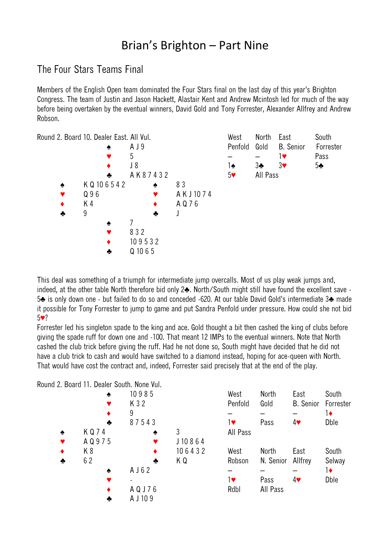## Brian's Brighton – Part Nine

## The Four Stars Teams Final

Members of the English Open team dominated the Four Stars final on the last day of this year's Brighton Congress. The team of Justin and Jason Hackett, Alastair Kent and Andrew Mcintosh led for much of the way before being overtaken by the eventual winners, David Gold and Tony Forrester, Alexander Allfrey and Andrew Robson.



This deal was something of a triumph for intermediate jump overcalls. Most of us play weak jumps and, indeed, at the other table North therefore bid only 2♣. North/South might still have found the excellent save - 5♣ is only down one - but failed to do so and conceded -620. At our table David Gold's intermediate 3♣ made it possible for Tony Forrester to jump to game and put Sandra Penfold under pressure. How could she not bid 5♥?

Forrester led his singleton spade to the king and ace. Gold thought a bit then cashed the king of clubs before giving the spade ruff for down one and -100. That meant 12 IMPs to the eventual winners. Note that North cashed the club trick before giving the ruff. Had he not done so, South might have decided that he did not have a club trick to cash and would have switched to a diamond instead, hoping for ace-queen with North. That would have cost the contract and, indeed, Forrester said precisely that at the end of the play.

Round 2. Board 11. Dealer South. None Vul.

|                 | ♠     | 10985     |        | West     | <b>North</b> | East                       | South        |
|-----------------|-------|-----------|--------|----------|--------------|----------------------------|--------------|
|                 | ♥     | K 3 2     |        | Penfold  | Gold         | <b>B.</b> Senior Forrester |              |
|                 | ٠     | 9         |        |          |              |                            | $1\bullet$   |
|                 | ♣     | 87543     |        | 1♥       | Pass         | 4♥                         | <b>D</b> ble |
| $\blacklozenge$ | KQ74  | ♠         | 3      | All Pass |              |                            |              |
|                 | AQ975 |           | J10864 |          |              |                            |              |
| $\bullet$       | K8    |           | 106432 | West     | <b>North</b> | East                       | South        |
| ♣               | 62    | ♣         | ΚQ     | Robson   | N. Senior    | Allfrey                    | Selway       |
|                 | ۰     | A J 6 2   |        |          |              |                            | 1♦           |
|                 |       |           |        | 1♥       | Pass         | 4♥                         | <b>D</b> ble |
|                 |       | A Q J 7 6 |        | Rdbl     | All Pass     |                            |              |
|                 | ÷     | A J 10 9  |        |          |              |                            |              |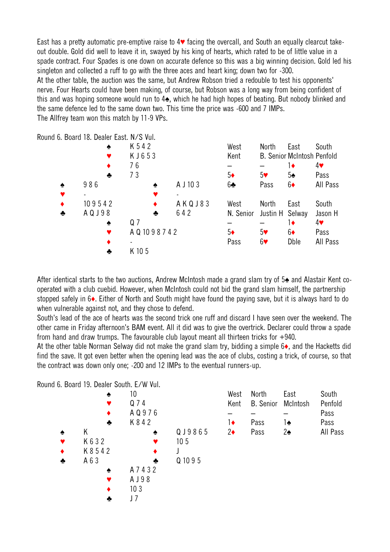East has a pretty automatic pre-emptive raise to 4♥ facing the overcall, and South an equally clearcut takeout double. Gold did well to leave it in, swayed by his king of hearts, which rated to be of little value in a spade contract. Four Spades is one down on accurate defence so this was a big winning decision. Gold led his singleton and collected a ruff to go with the three aces and heart king; down two for -300. At the other table, the auction was the same, but Andrew Robson tried a redouble to test his opponents' nerve. Four Hearts could have been making, of course, but Robson was a long way from being confident of this and was hoping someone would run to 4♠, which he had high hopes of beating. But nobody blinked and the same defence led to the same down two. This time the price was -600 and 7 IMPs. The Allfrey team won this match by 11-9 VPs.

Round 6. Board 18. Dealer East. N/S Vul.

|   | ۰         | K 542          |          | West       | North                 | East          | South                      |
|---|-----------|----------------|----------|------------|-----------------------|---------------|----------------------------|
|   |           | KJ653          |          | Kent       |                       |               | B. Senior McIntosh Penfold |
|   |           | 76             |          |            |                       | 1♦            | $4\bullet$                 |
|   | ♣         | 73             |          | $5\bullet$ | 5 <sub>Y</sub>        | $5\spadesuit$ | Pass                       |
| ۰ | 986       | ۰              | A J 10 3 | $6 -$      | Pass                  | $6\bullet$    | All Pass                   |
|   |           |                |          |            |                       |               |                            |
|   | 109542    |                | AKQJ83   | West       | North                 | East          | South                      |
|   | A Q J 9 8 | ♣              | 642      | N. Senior  | Justin H Selway       |               | Jason H                    |
|   | ♠         | Q <sub>7</sub> |          |            |                       | 1♦            | $4\bullet$                 |
|   | Y         | AQ 1098742     |          | $5\bullet$ | 5 <sub>Y</sub>        | $6\bullet$    | Pass                       |
|   |           |                |          | Pass       | $6\blacktriangledown$ | <b>D</b> ble  | All Pass                   |
|   |           | K 10 5         |          |            |                       |               |                            |

After identical starts to the two auctions, Andrew McIntosh made a grand slam try of 5♠ and Alastair Kent cooperated with a club cuebid. However, when McIntosh could not bid the grand slam himself, the partnership stopped safely in 6♦. Either of North and South might have found the paying save, but it is always hard to do when vulnerable against not, and they chose to defend.

South's lead of the ace of hearts was the second trick one ruff and discard I have seen over the weekend. The other came in Friday afternoon's BAM event. All it did was to give the overtrick. Declarer could throw a spade from hand and draw trumps. The favourable club layout meant all thirteen tricks for +940.

At the other table Norman Selway did not make the grand slam try, bidding a simple 6♦, and the Hacketts did find the save. It got even better when the opening lead was the ace of clubs, costing a trick, of course, so that the contract was down only one; -200 and 12 IMPs to the eventual runners-up.

Round 6. Board 19. Dealer South. E/W Vul.

|   | ♠         | 10              |                 | West       | <b>North</b>     | East          | South    |
|---|-----------|-----------------|-----------------|------------|------------------|---------------|----------|
|   |           | Q 7 4           |                 | Kent       | <b>B.</b> Senior | McIntosh      | Penfold  |
|   | ٠         | AQ976           |                 |            |                  |               | Pass     |
|   | ♣         | K 8 4 2         |                 | 1♦         | Pass             | 1♠            | Pass     |
| ♠ | Κ         | ♠               | QJ9865          | $2\bullet$ | Pass             | $2\spadesuit$ | All Pass |
|   | K 6 3 2   |                 | 10 <sub>5</sub> |            |                  |               |          |
| ٠ | K 8 5 4 2 |                 |                 |            |                  |               |          |
| ♣ | A 6 3     | ♣               | Q 10 9 5        |            |                  |               |          |
|   | ♠         | A 7 4 3 2       |                 |            |                  |               |          |
|   |           | A J 98          |                 |            |                  |               |          |
|   | ٠         | 10 <sub>3</sub> |                 |            |                  |               |          |
|   | ♣         | J 7             |                 |            |                  |               |          |